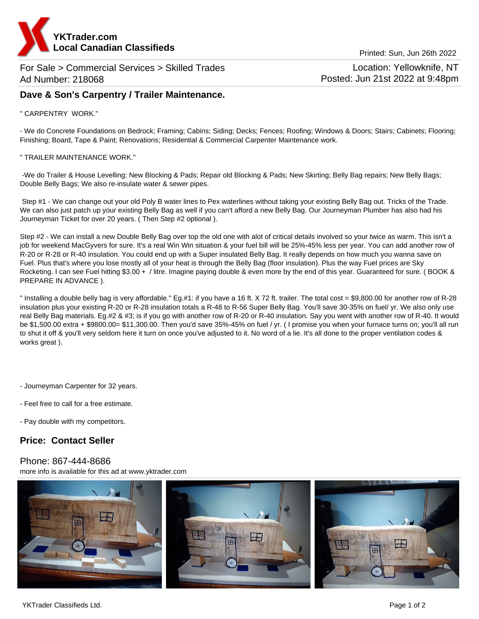

For Sale > Commercial Services > Skilled Trades Ad Number: 218068

Location: Yellowknife, NT Posted: Jun 21st 2022 at 9:48pm

# **Dave & Son's Carpentry / Trailer Maintenance.**

### " CARPENTRY WORK."

- We do Concrete Foundations on Bedrock; Framing; Cabins; Siding; Decks; Fences; Roofing; Windows & Doors; Stairs; Cabinets; Flooring; Finishing; Board, Tape & Paint; Renovations; Residential & Commercial Carpenter Maintenance work.

#### " TRAILER MAINTENANCE WORK."

 -We do Trailer & House Levelling; New Blocking & Pads; Repair old Blocking & Pads; New Skirting; Belly Bag repairs; New Belly Bags; Double Belly Bags; We also re-insulate water & sewer pipes.

 Step #1 - We can change out your old Poly B water lines to Pex waterlines without taking your existing Belly Bag out. Tricks of the Trade. We can also just patch up your existing Belly Bag as well if you can't afford a new Belly Bag. Our Journeyman Plumber has also had his Journeyman Ticket for over 20 years. ( Then Step #2 optional ).

Step #2 - We can install a new Double Belly Bag over top the old one with alot of critical details involved so your twice as warm. This isn't a job for weekend MacGyvers for sure. It's a real Win Win situation & your fuel bill will be 25%-45% less per year. You can add another row of R-20 or R-28 or R-40 insulation. You could end up with a Super insulated Belly Bag. It really depends on how much you wanna save on Fuel. Plus that's where you lose mostly all of your heat is through the Belly Bag (floor insulation). Plus the way Fuel prices are Sky Rocketing. I can see Fuel hitting \$3.00 + / litre. Imagine paying double & even more by the end of this year. Guaranteed for sure. ( BOOK & PREPARE IN ADVANCE ).

" Installing a double belly bag is very affordable." Eg.#1: if you have a 16 ft. X 72 ft. trailer. The total cost = \$9,800.00 for another row of R-28 insulation plus your existing R-20 or R-28 insulation totals a R-48 to R-56 Super Belly Bag. You'll save 30-35% on fuel/ yr. We also only use real Belly Bag materials. Eg.#2 & #3; is if you go with another row of R-20 or R-40 insulation. Say you went with another row of R-40. It would be \$1,500.00 extra + \$9800.00= \$11,300.00. Then you'd save 35%-45% on fuel / yr. ( I promise you when your furnace turns on; you'll all run to shut it off & you'll very seldom here it turn on once you've adjusted to it. No word of a lie. It's all done to the proper ventilation codes & works great ).

- Journeyman Carpenter for 32 years.
- Feel free to call for a free estimate.
- Pay double with my competitors.

## **Price: Contact Seller**

### Phone: 867-444-8686

more info is available for this ad at www.yktrader.com